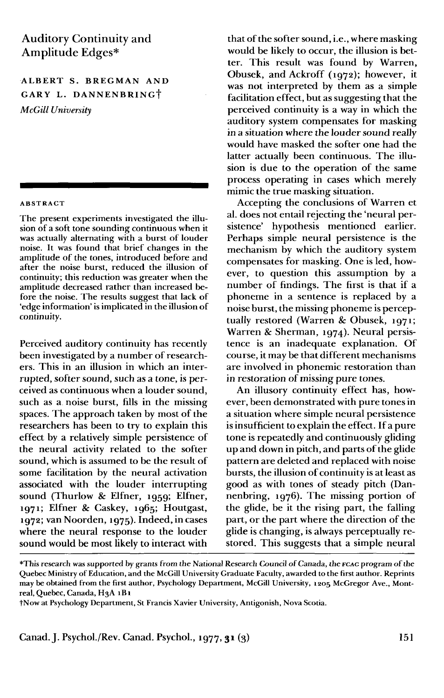# Auditory Continuity and Amplitude Edges\*

# ALBERT S. BREGMAN AND GARY L. DANNENBRINGt *McGill University*

#### ABSTRACT

The present experiments investigated the illusion of a soft tone sounding continuous when it was actually alternating with a burst of louder noise. It was found that brief changes in the amplitude of the tones, introduced before and after the noise burst, reduced the illusion of continuity; this reduction was greater when the amplitude decreased rather than increased before the noise. The results suggest that lack of 'edge information' is implicated in the illusion of continuity.

Perceived auditory continuity has recently been investigated by a number of researchers. This in an illusion in which an interrupted, softer sound, such as a tone, is perceived as continuous when a louder sound, such as a noise burst, fills in the missing spaces. The approach taken by most of the researchers has been to try to explain this effect by a relatively simple persistence of the neural activity related to the softer sound, which is assumed to be the result of some facilitation by the neural activation associated with the louder interrupting sound (Thurlow & Elfher, 1959; Elfher, 1971; Elfner & Caskey, 1965; Houtgast, 1972; vanNoorden, 1975). Indeed, in cases where the neural response to the louder sound would be most likely to interact with

that of the softer sound, i.e., where masking would be likely to occur, the illusion is better. This result was found by Warren, Obusek, and Ackroff (1972); however, it was not interpreted by them as a simple facilitation effect, but as suggesting that the perceived continuity is a way in which the auditory system compensates for masking in a situation where the louder sound really would have masked the softer one had the latter actually been continuous. The illusion is due to the operation of the same process operating in cases which merely mimic the true masking situation.

Accepting the conclusions of Warren et al. does not entail rejecting the 'neural persistence' hypothesis mentioned earlier. Perhaps simple neural persistence is the mechanism by which the auditory system compensates for masking. One is led, however, to question this assumption by a number of findings. The first is that if a phoneme in a sentence is replaced by a noise burst, the missing phoneme is perceptually restored (Warren & Obusek, 1971; Warren & Sherman, 1974). Neural persistence is an inadequate explanation. Of course, it may be that different mechanisms are involved in phonemic restoration than in restoration of missing pure tones.

An illusory continuity effect has, however, been demonstrated with pure tones in a situation where simple neural persistence is insufficient to explain the effect. If a pure tone is repeatedly and continuously gliding up and down in pitch, and parts of the glide pattern are deleted and replaced with noise bursts, the illusion of continuity is at least as good as with tones of steady pitch (Dannenbring, 1976). The missing portion of the glide, be it the rising part, the falling part, or the part where the direction of the glide is changing, is always perceptually restored. This suggests that a simple neural

<sup>\*</sup>This research was supported by grants from the National Research Council of Canada, the FCAC program of the Quebec Ministry of Education, and the McGill University Graduate Faculty, awarded to the first author. Reprints may be obtained from the first author, Psychology Department, McGill University, 1205 McGregor Ave., Montreal, Quebec, Canada, H3A 1B1

tNow at Psychology Department, St Francis Xavier University, Antigonish, Nova Scotia.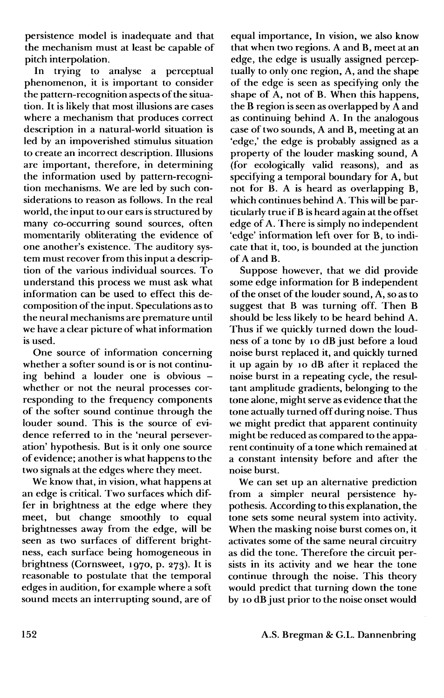persistence model is inadequate and that the mechanism must at least be capable of pitch interpolation.

In trying to analyse a perceptual phenomenon, it is important to consider the pattern-recognition aspects of the situation. It is likely that most illusions are cases where a mechanism that produces correct description in a natural-world situation is led by an impoverished stimulus situation to create an incorrect description. Illusions are important, therefore, in determining the information used by pattern-recognition mechanisms. We are led by such considerations to reason as follows. In the real world, the input to our ears is structured by many co-occurring sound sources, often momentarily obliterating the evidence of one another's existence. The auditory system must recover from this input a description of the various individual sources. To understand this process we must ask what information can be used to effect this decomposition of the input. Speculations as to the neural mechanisms are premature until we have a clear picture of what information is used.

One source of information concerning whether a softer sound is or is not continuing behind a louder one is obvious whether or not the neural processes corresponding to the frequency components of the softer sound continue through the louder sound. This is the source of evidence referred to in the 'neural perseveration' hypothesis. But is it only one source of evidence; another is what happens to the two signals at the edges where they meet.

We know that, in vision, what happens at an edge is critical. Two surfaces which differ in brightness at the edge where they meet, but change smoothly to equal brightnesses away from the edge, will be seen as two surfaces of different brightness, each surface being homogeneous in brightness (Cornsweet, 1970, p. 273). It is reasonable to postulate that the temporal edges in audition, for example where a soft sound meets an interrupting sound, are of

equal importance, In vision, we also know that when two regions. A and B, meet at an edge, the edge is usually assigned perceptually to only one region, A, and the shape of the edge is seen as specifying only the shape of A, not of B. When this happens, the B region is seen as overlapped by A and as continuing behind A. In the analogous case of two sounds, A and B, meeting at an 'edge,' the edge is probably assigned as a property of the louder masking sound, A (for ecologically valid reasons), and as specifying a temporal boundary for A, but not for B. A is heard as overlapping B, which continues behind A. This will be particularly true if B is heard again at the offset edge of A. There is simply no independent 'edge' information left over for B, to indicate that it, too, is bounded at the junction of A and B.

Suppose however, that we did provide some edge information for B independent of the onset of the louder sound, A, so as to suggest that B was turning off. Then B should be less likely to be heard behind A. Thus if we quickly turned down the loudness of a tone by 10 dB just before a loud noise burst replaced it, and quickly turned it up again by 10 dB after it replaced the noise burst in a repeating cycle, the resultant amplitude gradients, belonging to the tone alone, might serve as evidence that the tone actually turned off during noise. Thus we might predict that apparent continuity might be reduced as compared to the apparent continuity of a tone which remained at a constant intensity before and after the noise burst.

We can set up an alternative prediction from a simpler neural persistence hypothesis. According to this explanation, the tone sets some neural system into activity. When the masking noise burst comes on, it activates some of the same neural circuitry as did the tone. Therefore the circuit persists in its activity and we hear the tone continue through the noise. This theory would predict that turning down the tone by 10 dB just prior to the noise onset would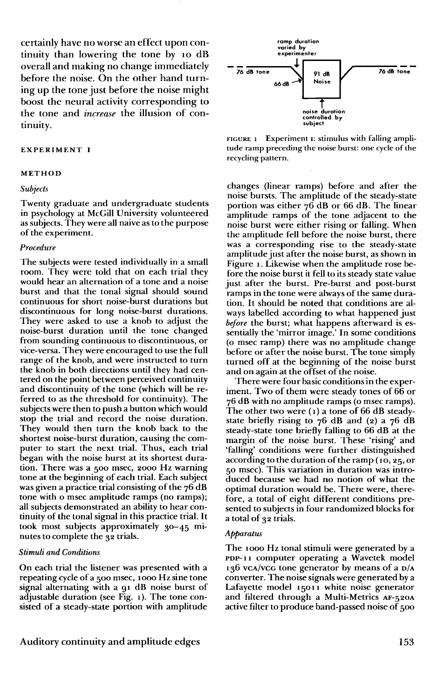certainly have no worse an effect upon continuity than lowering the tone by 10 dB overall and making no change immediately before the noise. On the other hand turning up the tone just before the noise might boost the neural activity corresponding to the tone and *increase* the illusion of continuity.

#### **EXPERIMENT I**

#### **METHOD**

#### *Subjects*

Twenty graduate and undergraduate students in psychology at McGill University volunteered as subjects. They were all naive as to the purpose of the experiment.

## *Procedure*

The subjects were tested individually in a small room. They were told that on each trial they would hear an alternation of a tone and a noise burst and that the tonal signal should sound continuous for short noise-burst durations but discontinuous for long noise-burst durations. They were asked to use a knob to adjust the noise-burst duration until the tone changed from sounding continuous to discontinuous, or vice-versa. They were encouraged to use the full range of the knob, and were instructed to turn the knob in both directions until they had centered on the point between perceived continuity and discontinuity of the tone (which will be referred to as the threshold for continuity). The subjects were then to push a button which would stop the trial and record the noise duration. They would then turn the knob back to the shortest noise-burst duration, causing the computer to start the next trial. Thus, each trial began with the noise burst at its shortest duration. There was a 500 msec, 2000 Hz warning tone at the beginning of each trial. Each subject was given a practice trial consisting of the 76 dB tone with o msec amplitude ramps (no ramps); all subjects demonstrated an ability to hear continuity of the tonal signal in this practice trial. It took most subjects approximately 30-45 minutes to complete the 32 trials.

## *Stimuli and Conditions*

On each trial the listener was presented with a repeating cycle of a 500 msec, 1000 Hz sine tone signal alternating with a 91 dB noise burst of adjustable duration (see Fig. 1). The tone consisted of a steady-state portion with amplitude



FIGURE 1 Experiment 1: stimulus with falling amplitude ramp preceding the noise burst: one cycle of the recycling pattern.

changes (linear ramps) before and after the noise bursts. The amplitude of the steady-state portion was either 76 dB or 66 dB. The linear amplitude ramps of the tone adjacent to the noise burst were either rising or falling. When the amplitude fell before the noise burst, there was a corresponding rise to the steady-state amplitude just after the noise burst, as shown in Figure 1. Likewise when the amplitude rose before the noise burst it fell to its steady state value just after the burst. Pre-burst and post-burst ramps in the tone were always of the same duration. It should be noted that conditions are always labelled according to what happened just *before* the burst; what happens afterward is essentially the 'mirror image.' In some conditions (o msec ramp) there was no amplitude change before or after the noise burst. The tone simply turned off at the beginning of the noise burst and on again at the offset of the noise.

There were four basic conditions in the experiment. Two of them were steady tones of 66 or 76 dB with no amplitude ramps (o msec ramps). The other two were (1) a tone of 66 dB steadystate briefly rising to  $76$  dB and (2) a  $76$  dB steady-state tone briefly falling to 66 dB at the margin of the noise burst. These 'rising' and 'falling' conditions were further distinguished according to the duration of the ramp (10, 25, or 50 msec). This variation in duration was introduced because we had no notion of what the optimal duration would be. There were, therefore, a total of eight different conditions presented to subjects in four randomized blocks for a total of 32 trials.

#### *Apparatus*

The 1000 Hz tonal stimuli were generated by a PDP- 11 computer operating a Wavetek model 136 VCA/VCG tone generator by means of a D/A converter. The noise signals were generated by a Lafayette model 15011 white noise generator and filtered through a Multi-Metrics AF-520A active filter to produce band-passed noise of 500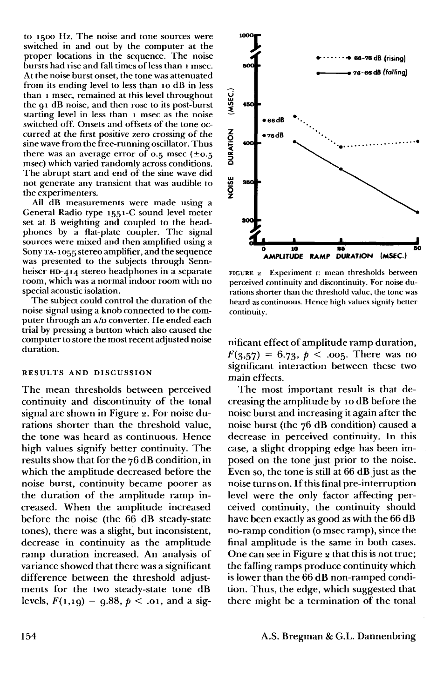to 1500 Hz. The noise and tone sources were switched in and out by the computer at the proper locations in the sequence. The noise bursts had rise and fall times of less than 1 msec. At the noise burst onset, the tone was attenuated from its ending level to less than 10 dB in less than 1 msec, remained at this level throughout the 91 dB noise, and then rose to its post-burst starting level in less than 1 msec as the noise switched off. Onsets and offsets of the tone occurred at the first positive zero crossing of the sine wave from the free-running oscillator. Thus there was an average error of 0.5 msec  $(\pm 0.5)$ msec) which varied randomly across conditions. The abrupt start and end of the sine wave did not generate any transient that was audible to the experimenters.

All dB measurements were made using a General Radio type 1551-C sound level meter set at B weighting and coupled to the headphones by a flat-plate coupler. The signal sources were mixed and then amplified using a Sony TA- 1055 stereo amplifier, and the sequence was presented to the subjects through Sennheiser HD-414 stereo headphones in a separate room, which was a normal indoor room with no special acoustic isolation.

The subject could control the duration of the noise signal using a knob connected to the computer through an A/D converter. He ended each trial by pressing a button which also caused the computer to store the most recent adjusted noise duration.

#### **RESULTS AND DISCUSSION**

The mean thresholds between perceived continuity and discontinuity of the tonal signal are shown in Figure 2. For noise durations shorter than the threshold value, the tone was heard as continuous. Hence high values signify better continuity. The results show that for the 76 dB condition, in which the amplitude decreased before the noise burst, continuity became poorer as the duration of the amplitude ramp increased. When the amplitude increased before the noise (the 66 dB steady-state tones), there was a slight, but inconsistent, decrease in continuity as the amplitude ramp duration increased. An analysis of variance showed that there was a significant difference between the threshold adjustments for the two steady-state tone dB levels,  $F(1,19) = 9.88, p < .01$ , and a sig-



FIGURE 2 Experiment 1: mean thresholds between perceived continuity and discontinuity. For noise durations shorter than the threshold value, the tone was heard as continuous. Hence high values signify better continuity.

nificant effect of amplitude ramp duration,  $F(3,57) = 6.73, p < .005$ . There was no significant interaction between these two main effects.

The most important result is that decreasing the amplitude by 10 dB before the noise burst and increasing it again after the noise burst (the 76 dB condition) caused a decrease in perceived continuity. In this case, a slight dropping edge has been imposed on the tone just prior to the noise. Even so, the tone is still at 66 dB just as the noise turns on. If this final pre-interruption level were the only factor affecting perceived continuity, the continuity should have been exactly as good as with the 66 dB no-ramp condition (o msec ramp), since the final amplitude is the same in both cases. One can see in Figure 2 that this is not true; the falling ramps produce continuity which is lower than the 66 dB non-ramped condition. Thus, the edge, which suggested that there might be a termination of the tonal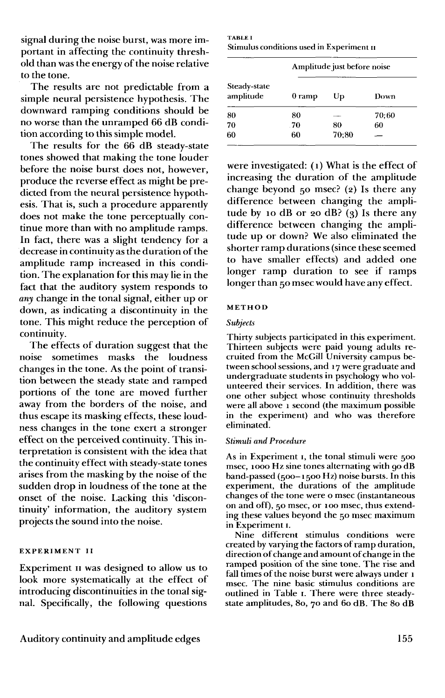signal during the noise burst, was more important in affecting the continuity threshold than was the energy of the noise relative to the tone.

The results are not predictable from a simple neural persistence hypothesis. The downward ramping conditions should be no worse than the unramped 66 dB condition according to this simple model.

The results for the 66 dB steady-state tones showed that making the tone louder before the noise burst does not, however, produce the reverse effect as might be predicted from the neural persistence hypothesis. That is, such a procedure apparently does not make the tone perceptually continue more than with no amplitude ramps. In fact, there was a slight tendency for a decrease in continuity as the duration of the amplitude ramp increased in this condition. The explanation for this may lie in the fact that the auditory system responds to *any* change in the tonal signal, either up or down, as indicating a discontinuity in the tone. This might reduce the perception of continuity.

The effects of duration suggest that the noise sometimes masks the loudness changes in the tone. As the point of transition between the steady state and ramped portions of the tone are moved further away from the borders of the noise, and thus escape its masking effects, these loudness changes in the tone exert a stronger effect on the perceived continuity. This interpretation is consistent with the idea that the continuity effect with steady-state tones arises from the masking by the noise of the sudden drop in loudness of the tone at the onset of the noise. Lacking this 'discontinuity' information, the auditory system projects the sound into the noise.

#### **EXPERIMENT II**

Experiment n was designed to allow us to look more systematically at the effect of introducing discontinuities in the tonal signal. Specifically, the following questions

TABLE I Stimulus conditions used in Experiment II

| Steady-state<br>amplitude | Amplitude just before noise |       |       |
|---------------------------|-----------------------------|-------|-------|
|                           | $0 \text{ ramp}$            | Up    | Down  |
| 80                        | 80                          |       | 70:60 |
| 70                        | .70                         | 80    | 60    |
| 60                        | 60                          | 70:80 |       |

were investigated: (1) What is the effect of increasing the duration of the amplitude change beyond  $50$  msec? (2) Is there any difference between changing the amplitude by 10 dB or 20 dB? (3) Is there any difference between changing the amplitude up or down? We also eliminated the shorter ramp durations (since these seemed to have smaller effects) and added one longer ramp duration to see if ramps longer than 50 msec would have any effect.

#### **METHOD**

#### *Subjects*

Thirty subjects participated in this experiment. Thirteen subjects were paid young adults recruited from the McGill University campus between school sessions, and 17 were graduate and undergraduate students in psychology who volunteered their services. In addition, there was one other subject whose continuity thresholds were all above 1 second (the maximum possible in the experiment) and who was therefore eliminated.

## *Stimuli and Procedure*

As in Experiment 1, the tonal stimuli were 500 msec, 1000 Hz sine tones alternating with go dB band-passed (500-1500 Hz) noise bursts. In this experiment, the durations of the amplitude changes of the tone were o msec (instantaneous on and off), 50 msec, or 100 msec, thus extending these values beyond the 50 msec maximum in Experiment 1.

Nine different stimulus conditions were created by varying the factors of ramp duration, direction of change and amount of change in the ramped position of the sine tone. The rise and fall times of the noise burst were always under 1 msec. The nine basic stimulus conditions are outlined in Table 1. There were three steadystate amplitudes, 80, 70 and 60 dB. The 80 dB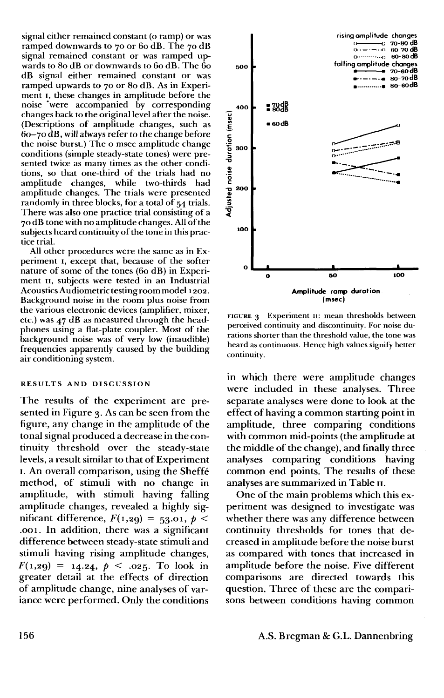signal either remained constant (o ramp) or was ramped downwards to 70 or 60 dB. The 70 dB signal remained constant or was ramped upwards to 80 dB or downwards to 60 dB. The 60 dB signal either remained constant or was ramped upwards to 70 or 80 dB. As in Experiment 1, these changes in amplitude before the noise 'were accompanied by corresponding changes back to the original level after the noise. (Descriptions of amplitude changes, such as 60-70 dB, will always refer to the change before the noise burst.) The o msec amplitude change conditions (simple steady-state tones) were presented twice as many times as the other conditions, so that one-third of the trials had no amplitude changes, while two-thirds had amplitude changes. The trials were presented randomly in three blocks, for a total of 54 trials. There was also one practice trial consisting of a 70 dB tone with no amplitude changes. All of the subjects heard continuity of the tone in this practice trial.

All other procedures were the same as in Experiment 1, except that, because of the softer nature of some of the tones (60 dB) in Experiment 11, subjects were tested in an Industrial Acoustics Audiometric testingroom model 1202. Background noise in the room plus noise from the various electronic devices (amplifier, mixer, etc.) was 47 dB as measured through the headphones using a flat-plate coupler. Most of the background noise was of very low (inaudible) frequencies apparently caused by the building air conditioning system.

## **RESULTS AND DISCUSSION**

The results of the experiment are presented in Figure 3. As can be seen from the figure, any change in the amplitude of the tonal signal produced a decrease in the continuity threshold over the steady-state levels, a result similar to that of Experiment 1. An overall comparison, using the Sheffe method, of stimuli with no change in amplitude, with stimuli having falling amplitude changes, revealed a highly significant difference,  $F(1,29) = 53.01, p <$ .001. In addition, there was a significant difference between steady-state stimuli and stimuli having rising amplitude changes,  $F(1,29) = 14.24, p < .025$ . To look in greater detail at the effects of direction of amplitude change, nine analyses of variance were performed. Only the conditions



FIGURE 3 Experiment n: mean thresholds between perceived continuity and discontinuity. For noise durations shorter than the threshold value, the tone was heard as continuous. Hence high values signify better continuity.

in which there were amplitude changes were included in these analyses. Three separate analyses were done to look at the effect of having a common starting point in amplitude, three comparing conditions with common mid-points (the amplitude at the middle of the change), and finally three analyses comparing conditions having common end points. The results of these analyses are summarized in Table n.

One of the main problems which this experiment was designed to investigate was whether there was any difference between continuity thresholds for tones that decreased in amplitude before the noise burst as compared with tones that increased in amplitude before the noise. Five different comparisons are directed towards this question. Three of these are the comparisons between conditions having common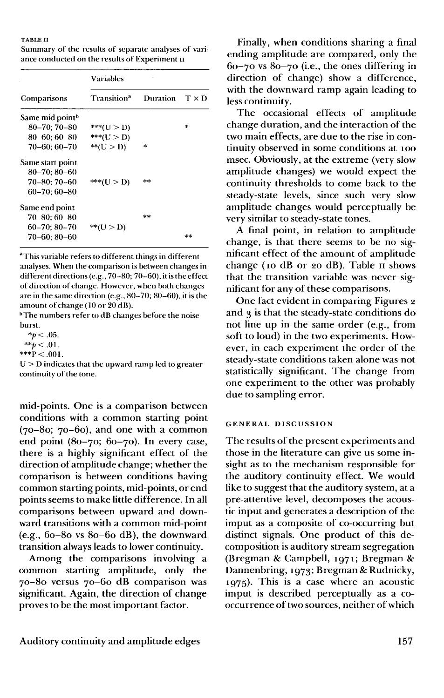#### **TABLE II**

Summary of the results of separate analyses of variance conducted on the results of Experiment n

|                             | <b>Variables</b>        |          |              |  |
|-----------------------------|-------------------------|----------|--------------|--|
| Comparisons                 | Transition <sup>a</sup> | Duration | $T \times D$ |  |
| Same mid point <sup>h</sup> |                         |          |              |  |
| $80 - 70:70 - 80$           | $***( U > D)$           |          | *            |  |
| 80–60: 60–80                | ***(U > D)              |          |              |  |
| 70–60: 60–70                | $*$ $(U > D)$           | $\ast$   |              |  |
| Same start point            |                         |          |              |  |
| $80 - 70; 80 - 60$          |                         |          |              |  |
| 70–80; 70–60                | ***(U > D)              | **       |              |  |
| 60–70; 60–80                |                         |          |              |  |
| Same end point              |                         |          |              |  |
| $70 - 80; 60 - 80$          |                         | **       |              |  |
| $60 - 70$ ; $80 - 70$       | ** $(U > D)$            |          |              |  |
| 70–60: 80–60                |                         |          | $x =$        |  |

<sup>a</sup>This variable refers to different things in different analyses. When the comparison is between changes in different directions (e.g., 70-80; 70-60), it is the effect of direction of change. However, when both changes are in the same direction (e.g., 80-70; 80-60), it is the amount of change (10 or 20 dB).

<sup>b</sup>The numbers refer to dB changes before the noise burst.

 $**p* < .05$ . *\*\*p<* **.01.**  $***P<.001$ .

 $U > D$  indicates that the upward ramp led to greater continuity of the tone.

mid-points. One is a comparison between conditions with a common starting point  $(70-80; 70-60)$ , and one with a common end point (80-70; 60-70). In every case, there is a highly significant effect of the direction of amplitude change; whether the comparison is between conditions having common starting points, mid-points, or end points seems to make little difference. In all comparisons between upward and downward transitions with a common mid-point (e.g., 60-80 vs 80-60 dB), the downward transition always leads to lower continuity.

Among the comparisons involving a common starting amplitude, only the 70-80 versus 70-60 dB comparison was significant. Again, the direction of change proves to be the most important factor.

Finally, when conditions sharing a final ending amplitude are compared, only the  $60-70$  vs  $80-70$  (i.e., the ones differing in direction of change) show a difference, with the downward ramp again leading to less continuity.

The occasional effects of amplitude change duration, and the interaction of the two main effects, are due to the rise in continuity observed in some conditions at 100 msec. Obviously, at the extreme (very slow amplitude changes) we would expect the continuity thresholds to come back to the steady-state levels, since such very slow amplitude changes would perceptually be very similar to steady-state tones.

A final point, in relation to amplitude change, is that there seems to be no significant effect of the amount of amplitude change (10 dB or 20 dB). Table 11 shows that the transition variable was never significant for any of these comparisons.

One fact evident in comparing Figures 2 and 3 is that the steady-state conditions do not line up in the same order (e.g., from soft to loud) in the two experiments. However, in each experiment the order of the steady-state conditions taken alone was not statistically significant. The change from one experiment to the other was probably due to sampling error.

#### GENERAL DISCUSSION

The results of the present experiments and those in the literature can give us some insight as to the mechanism responsible for the auditory continuity effect. We would like to suggest that the auditory system, at a pre-attentive level, decomposes the acoustic input and generates a description of the imput as a composite of co-occurring but distinct signals. One product of this decomposition is auditory stream segregation (Bregman & Campbell, 1971; Bregman & Dannenbring, 1973; Bregman & Rudnicky, 1975). This is a case where an acoustic imput is described perceptually as a cooccurrence of two sources, neither of which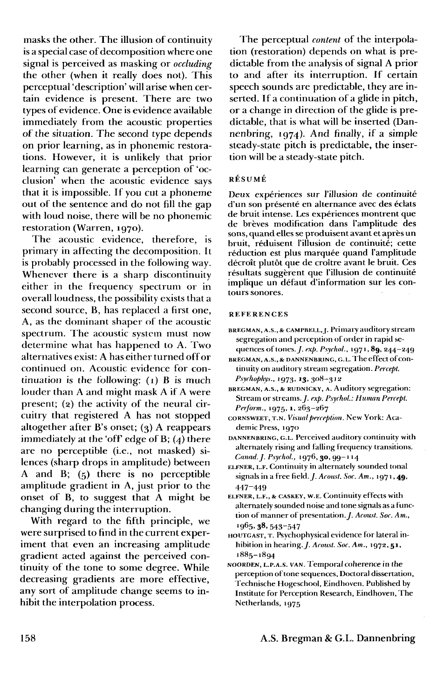masks the other. The illusion of continuity is a special case of decomposition where one signal is perceived as masking or *occluding* the other (when it really does not). This perceptual 'description' will arise when certain evidence is present. There are two types of evidence. One is evidence available immediately from the acoustic properties of the situation. The second type depends on prior learning, as in phonemic restorations. However, it is unlikely that prior learning can generate a perception of 'occlusion' when the acoustic evidence says that it is impossible. If you cut a phoneme out of the sentence and do not fill the gap with loud noise, there will be no phonemic restoration (Warren, 1970).

The acoustic evidence, therefore, is primary in affecting the decomposition. It is probably processed in the following way. Whenever there is a sharp discontinuity either in the frequency spectrum or in overall loudness, the possibility exists that a second source, B, has replaced a first one, A, as the dominant shaper of the acoustic spectrum. The acoustic system must now determine what has happened to A. Two alternatives exist: A has either turned off or continued on. Acoustic evidence for continuation is the following:  $(1)$  B is much louder than A and might mask A if A were present; (2) the activity of the neural circuitry that registered A has not stopped altogether after B's onset;  $(3)$  A reappears immediately at the 'off edge of B; (4) there are no perceptible (i.e., not masked) silences (sharp drops in amplitude) between A and B; (5) there is no perceptible amplitude gradient in A, just prior to the onset of B, to suggest that A might be changing during the interruption.

With regard to the fifth principle, we were surprised to find in the current experiment that even an increasing amplitude gradient acted against the perceived continuity of the tone to some degree. While decreasing gradients are more effective, any sort of amplitude change seems to inhibit the interpolation process.

The perceptual *content* of the interpolation (restoration) depends on what is predictable from the analysis of signal A prior to and after its interruption. If certain speech sounds are predictable, they are inserted. If a continuation of a glide in pitch, or a change in direction of the glide is predictable, that is what will be inserted (Dannenbring, 1974). And finally, if a simple steady-state pitch is predictable, the insertion will be a steady-state pitch.

#### RESUME

Deux expériences sur l'illusion de continuité d'un son présenté en alternance avec des éclats de bruit intense. Les experiences montrent que de breves modification dans l'amplitude des sons, quand elles se produisent avant et apres un bruit, reduisent l'illusion de continuite; cette réduction est plus marquée quand l'amplitude décroît plutôt que de croître avant le bruit. Ces résultats suggèrent que l'illusion de continuité implique un defaut d'information sur les contours sonores.

#### **REFERENCES**

- BREGMAN, A.S., & CAMPBELL, J. Primary auditory stream segregation and perception of order in rapid sequences of tones./, *exf). Psyrhol.,* ig71,89, 244-249
- BREGMAN, A.S., & DANNENBRING, G.L. The effect of continuity on auditory stream segregation. *Percept. P.syrhophys.,* 1973, 13, 308-312
- BREGMAN, A.s., & RUDNICKY, A. Auditory segregation: Stream or streams. *J. exp. Psychol.: Human Percept. Perform.,* 1975, 1, 263-267
- CORNSWEET, T.N. *Visual perception.* New York: Academic Press, 1970
- DANNENBRING, G.L. Perceived auditory continuity with alternately rising and falling frequency transitions. *Canad.J. Psycho!.,* 1976, 30, 99-114
- ELFNER, L.F. Continuity in alternately sounded tonal signals in a free field. *J. Acoust. Soc. Am.*, 1971, 49, 447-449
- ELFNER, L.F., & CASKEY, w.E. Continuity effects with alternately sounded noise and tone signals as a function of manner of presentation. *J. Acoust. Soc. Am.*, 1965, **38**, 543–547
- HOUTGAST, T. Psychophysical evidence for lateral inhibition in hearing./. *Acoust. Soc. Am.,* 1972,51, 1885-1894
- NOORDEN, L.P.A.S. VAN. Temporal coherence in the perception of tone sequences. Doctoral dissertation, Technische Hogeschool, Eindhoven. Published by Institute for Perception Research, Eindhoven, The Netherlands, 1975